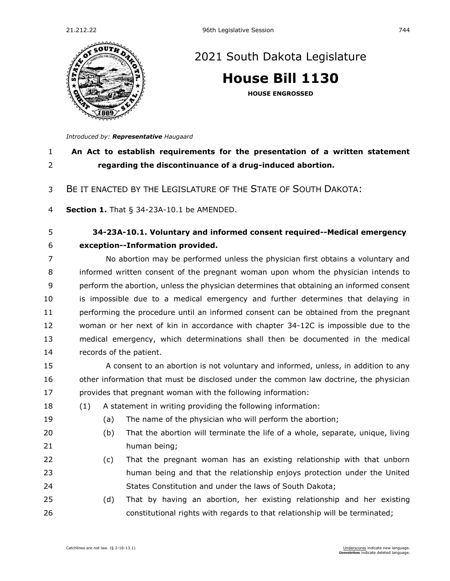

## [2021 South Dakota Legislature](https://sdlegislature.gov/Session/Bills/44)

**[House Bill 1130](https://sdlegislature.gov/Session/Bill/21932)**

**HOUSE ENGROSSED**

*Introduced by: Representative [Haugaard](https://sdlegislature.gov/Legislators/Profile/1799/Detail)*

## **An Act to establish requirements for the presentation of a written statement regarding the discontinuance of a drug-induced abortion.**

BE IT ENACTED BY THE LEGISLATURE OF THE STATE OF SOUTH DAKOTA:

**Section 1.** [That § 34-23A-10.1 be AMENDED.](https://sdlegislature.gov/Statutes/Codified_Laws/DisplayStatute.aspx?Type=Statute&Statute=34-23A-10.1)

## **[34-23A-10.1. V](https://sdlegislature.gov/Statutes/Codified_Laws/DisplayStatute.aspx?Type=Statute&Statute=34-23A-10.1)oluntary and informed consent required--Medical emergency exception--Information provided.**

 No abortion may be performed unless the physician first obtains a voluntary and informed written consent of the pregnant woman upon whom the physician intends to perform the abortion, unless the physician determines that obtaining an informed consent is impossible due to a medical emergency and further determines that delaying in 11 performing the procedure until an informed consent can be obtained from the pregnant woman or her next of kin in accordance with chapter [34-12C](https://sdlegislature.gov/Statutes/Codified_Laws/DisplayStatute.aspx?Type=Statute&Statute=34-12C) is impossible due to the medical emergency, which determinations shall then be documented in the medical records of the patient.

 A consent to an abortion is not voluntary and informed, unless, in addition to any 16 other information that must be disclosed under the common law doctrine, the physician provides that pregnant woman with the following information:

- (1) A statement in writing providing the following information:
- (a) The name of the physician who will perform the abortion;
- 
- (b) That the abortion will terminate the life of a whole, separate, unique, living
- human being;
- (c) That the pregnant woman has an existing relationship with that unborn human being and that the relationship enjoys protection under the United States Constitution and under the laws of South Dakota;
- (d) That by having an abortion, her existing relationship and her existing constitutional rights with regards to that relationship will be terminated;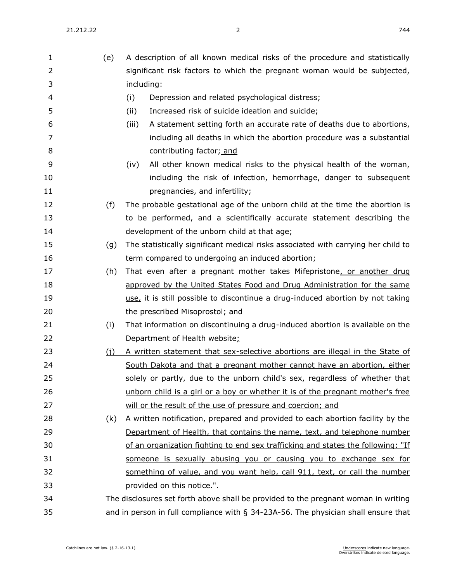| 1              | (e) | A description of all known medical risks of the procedure and statistically        |
|----------------|-----|------------------------------------------------------------------------------------|
| $\overline{2}$ |     | significant risk factors to which the pregnant woman would be subjected,           |
| 3              |     | including:                                                                         |
| 4              |     | (i)<br>Depression and related psychological distress;                              |
| 5              |     | Increased risk of suicide ideation and suicide;<br>(ii)                            |
| 6              |     | A statement setting forth an accurate rate of deaths due to abortions,<br>(iii)    |
| 7              |     | including all deaths in which the abortion procedure was a substantial             |
| 8              |     | contributing factor; and                                                           |
| 9              |     | All other known medical risks to the physical health of the woman,<br>(iv)         |
| 10             |     | including the risk of infection, hemorrhage, danger to subsequent                  |
| 11             |     | pregnancies, and infertility;                                                      |
| 12             | (f) | The probable gestational age of the unborn child at the time the abortion is       |
| 13             |     | to be performed, and a scientifically accurate statement describing the            |
| 14             |     | development of the unborn child at that age;                                       |
| 15             | (g) | The statistically significant medical risks associated with carrying her child to  |
| 16             |     | term compared to undergoing an induced abortion;                                   |
| 17             | (h) | That even after a pregnant mother takes Mifepristone, or another drug              |
| 18             |     | approved by the United States Food and Drug Administration for the same            |
| 19             |     | use, it is still possible to discontinue a drug-induced abortion by not taking     |
| 20             |     | the prescribed Misoprostol; and                                                    |
| 21             | (i) | That information on discontinuing a drug-induced abortion is available on the      |
| 22             |     | Department of Health website:                                                      |
| 23             | (i) | A written statement that sex-selective abortions are illegal in the State of       |
| 24             |     | South Dakota and that a pregnant mother cannot have an abortion, either            |
| 25             |     | solely or partly, due to the unborn child's sex, regardless of whether that        |
| 26             |     | unborn child is a girl or a boy or whether it is of the pregnant mother's free     |
| 27             |     | will or the result of the use of pressure and coercion; and                        |
| 28             | (k) | A written notification, prepared and provided to each abortion facility by the     |
| 29             |     | Department of Health, that contains the name, text, and telephone number           |
| 30             |     | of an organization fighting to end sex trafficking and states the following: "If   |
| 31             |     | someone is sexually abusing you or causing you to exchange sex for                 |
| 32             |     | something of value, and you want help, call 911, text, or call the number          |
| 33             |     | provided on this notice.".                                                         |
| 34             |     | The disclosures set forth above shall be provided to the pregnant woman in writing |
| 35             |     | and in person in full compliance with § 34-23A-56. The physician shall ensure that |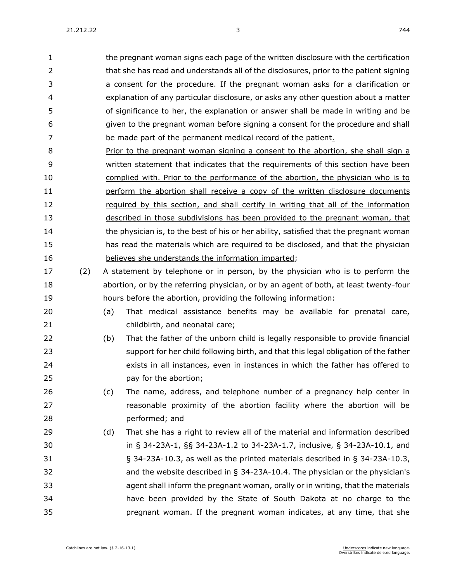21.212.22 3 744

 the pregnant woman signs each page of the written disclosure with the certification that she has read and understands all of the disclosures, prior to the patient signing a consent for the procedure. If the pregnant woman asks for a clarification or explanation of any particular disclosure, or asks any other question about a matter of significance to her, the explanation or answer shall be made in writing and be given to the pregnant woman before signing a consent for the procedure and shall be made part of the permanent medical record of the patient.

 Prior to the pregnant woman signing a consent to the abortion, she shall sign a written statement that indicates that the requirements of this section have been complied with. Prior to the performance of the abortion, the physician who is to perform the abortion shall receive a copy of the written disclosure documents required by this section, and shall certify in writing that all of the information described in those subdivisions has been provided to the pregnant woman, that 14 the physician is, to the best of his or her ability, satisfied that the pregnant woman has read the materials which are required to be disclosed, and that the physician believes she understands the information imparted;

- (2) A statement by telephone or in person, by the physician who is to perform the abortion, or by the referring physician, or by an agent of both, at least twenty-four hours before the abortion, providing the following information:
- (a) That medical assistance benefits may be available for prenatal care, childbirth, and neonatal care;
- (b) That the father of the unborn child is legally responsible to provide financial support for her child following birth, and that this legal obligation of the father exists in all instances, even in instances in which the father has offered to pay for the abortion;
- (c) The name, address, and telephone number of a pregnancy help center in **reasonable proximity of the abortion facility where the abortion will be** performed; and
- (d) That she has a right to review all of the material and information described in § [34-23A-1,](https://sdlegislature.gov/Statutes/Codified_Laws/DisplayStatute.aspx?Type=Statute&Statute=34-23A-1) §§ [34-23A-1.2](https://sdlegislature.gov/Statutes/Codified_Laws/DisplayStatute.aspx?Type=Statute&Statute=34-23A-1.2) to [34-23A-1.7,](https://sdlegislature.gov/Statutes/Codified_Laws/DisplayStatute.aspx?Type=Statute&Statute=34-23A-1.7) inclusive, § [34-23A-10.1,](https://sdlegislature.gov/Statutes/Codified_Laws/DisplayStatute.aspx?Type=Statute&Statute=34-23A-10.1) and § [34-23A-10.3,](https://sdlegislature.gov/Statutes/Codified_Laws/DisplayStatute.aspx?Type=Statute&Statute=34-23A-10.3) as well as the printed materials described in § [34-23A-10.3,](https://sdlegislature.gov/Statutes/Codified_Laws/DisplayStatute.aspx?Type=Statute&Statute=34-23A-10.3) and the website described in § [34-23A-10.4.](https://sdlegislature.gov/Statutes/Codified_Laws/DisplayStatute.aspx?Type=Statute&Statute=34-23A-10.4) The physician or the physician's agent shall inform the pregnant woman, orally or in writing, that the materials have been provided by the State of South Dakota at no charge to the pregnant woman. If the pregnant woman indicates, at any time, that she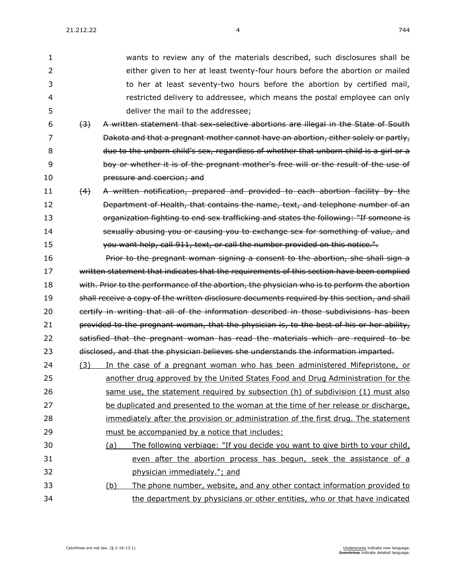21.212.22 **4** 744

 wants to review any of the materials described, such disclosures shall be either given to her at least twenty-four hours before the abortion or mailed to her at least seventy-two hours before the abortion by certified mail, restricted delivery to addressee, which means the postal employee can only deliver the mail to the addressee;

- (3) A written statement that sex-selective abortions are illegal in the State of South **Dakota and that a pregnant mother cannot have an abortion, either solely or partly,**  due to the unborn child's sex, regardless of whether that unborn child is a girl or a boy or whether it is of the pregnant mother's free will or the result of the use of pressure and coercion; and
- (4) A written notification, prepared and provided to each abortion facility by the **Department of Health, that contains the name, text, and telephone number of an organization fighting to end sex trafficking and states the following: "If someone is** 14 sexually abusing you or causing you to exchange sex for something of value, and **you want help, call 911, text, or call the number provided on this notice.".**

**Prior to the pregnant woman signing a consent to the abortion, she shall sign a** 17 written statement that indicates that the requirements of this section have been complied 18 with. Prior to the performance of the abortion, the physician who is to perform the abortion 19 shall receive a copy of the written disclosure documents required by this section, and shall 20 certify in writing that all of the information described in those subdivisions has been 21 provided to the pregnant woman, that the physician is, to the best of his or her ability, 22 satisfied that the pregnant woman has read the materials which are required to be 23 disclosed, and that the physician believes she understands the information imparted.

- (3) In the case of a pregnant woman who has been administered Mifepristone, or another drug approved by the United States Food and Drug Administration for the same use, the statement required by subsection (h) of subdivision (1) must also be duplicated and presented to the woman at the time of her release or discharge, immediately after the provision or administration of the first drug. The statement must be accompanied by a notice that includes:
- (a) The following verbiage: "If you decide you want to give birth to your child, even after the abortion process has begun, seek the assistance of a physician immediately."; and (b) The phone number, website, and any other contact information provided to the department by physicians or other entities, who or that have indicated